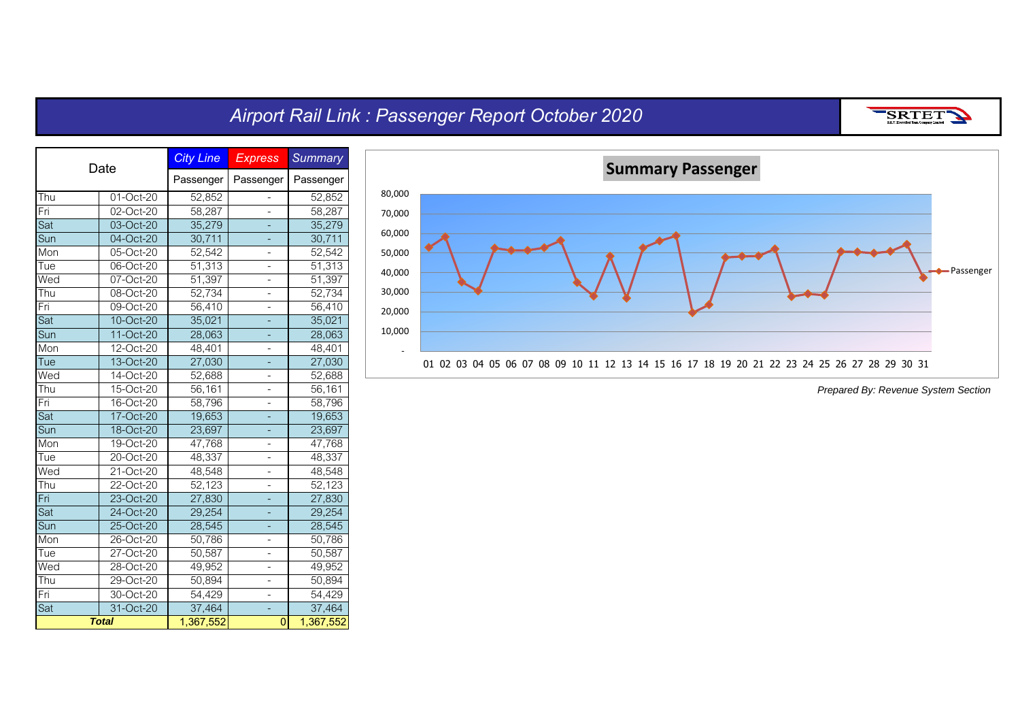## *Airport Rail Link : Passenger Report October 2020*

SRTET

| Date |              | <b>City Line</b> | <b>Express</b>           | <b>Summary</b> |
|------|--------------|------------------|--------------------------|----------------|
|      |              | Passenger        | Passenger                | Passenger      |
| Thu  | 01-Oct-20    | 52,852           |                          | 52,852         |
| Fri  | 02-Oct-20    | 58,287           | -                        | 58,287         |
| Sat  | 03-Oct-20    | 35,279           | ÷                        | 35,279         |
| Sun  | 04-Oct-20    | 30,711           |                          | 30,711         |
| Mon  | 05-Oct-20    | 52,542           |                          | 52,542         |
| Tue  | 06-Oct-20    | 51,313           |                          | 51,313         |
| Wed  | $07$ -Oct-20 | 51,397           |                          | 51,397         |
| Thu  | 08-Oct-20    | 52,734           |                          | 52,734         |
| Fri  | 09-Oct-20    | 56,410           | -                        | 56,410         |
| Sat  | 10-Oct-20    | 35,021           |                          | 35,021         |
| Sun  | 11-Oct-20    | 28,063           | ÷                        | 28,063         |
| Mon  | 12-Oct-20    | 48,401           | -                        | 48,401         |
| Tue  | 13-Oct-20    | 27,030           | L,                       | 27,030         |
| Wed  | 14-Oct-20    | 52,688           |                          | 52,688         |
| Thu  | 15-Oct-20    | 56,161           |                          | 56,161         |
| Fri  | 16-Oct-20    | 58,796           |                          | 58,796         |
| Sat  | 17-Oct-20    | 19,653           |                          | 19,653         |
| Sun  | 18-Oct-20    | 23,697           | -                        | 23,697         |
| Mon  | 19-Oct-20    | 47,768           | -                        | 47,768         |
| Tue  | 20-Oct-20    | 48,337           | -                        | 48,337         |
| Wed  | 21-Oct-20    | 48,548           | -                        | 48,548         |
| Thu  | 22-Oct-20    | 52,123           | -                        | 52,123         |
| Fri  | 23-Oct-20    | 27,830           |                          | 27,830         |
| Sat  | 24-Oct-20    | 29,254           |                          | 29,254         |
| Sun  | 25-Oct-20    | 28,545           |                          | 28,545         |
| Mon  | 26-Oct-20    | 50,786           |                          | 50,786         |
| Tue  | 27-Oct-20    | 50,587           | -                        | 50,587         |
| Wed  | 28-Oct-20    | 49,952           | $\overline{a}$           | 49,952         |
| Thu  | 29-Oct-20    | 50,894           | $\overline{\phantom{0}}$ | 50,894         |
| Fri  | 30-Oct-20    | 54,429           | $\overline{\phantom{0}}$ | 54,429         |
| Sat  | 31-Oct-20    | 37,464           |                          | 37,464         |
|      | <b>Total</b> | 1,367,552        | $\overline{0}$           | 1,367,552      |

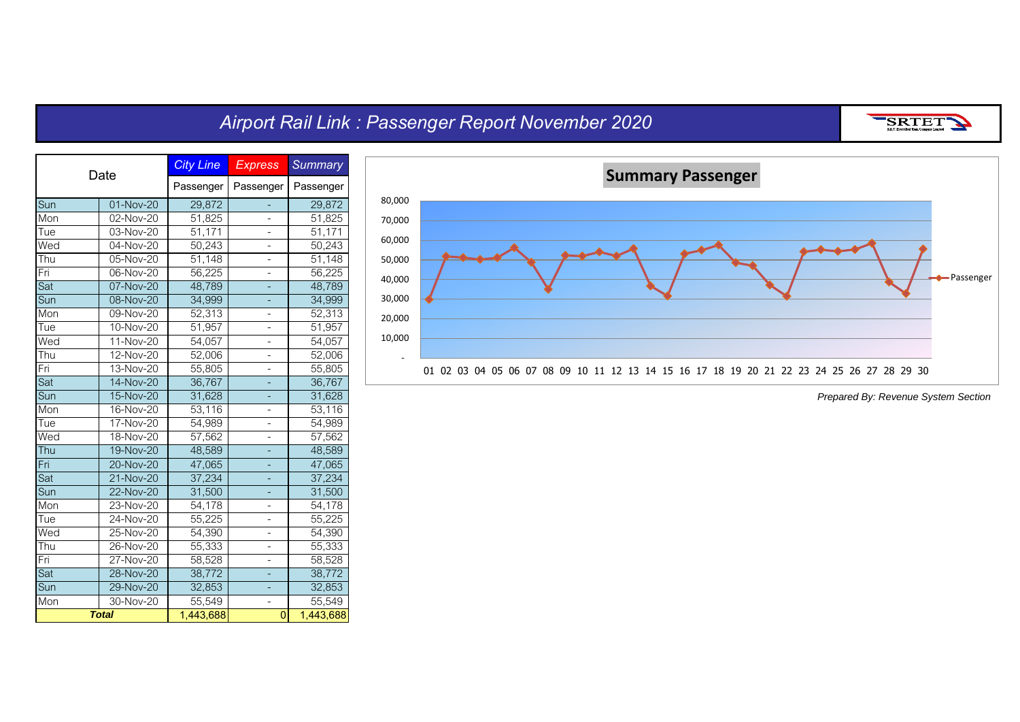## *Airport Rail Link : Passenger Report November 2020*

| S.R.T. Electrified Train Company Limited |
|------------------------------------------|
|------------------------------------------|

| Date |                         | <b>City Line</b>    | <b>Express</b> | <b>Summary</b>      |
|------|-------------------------|---------------------|----------------|---------------------|
|      |                         | Passenger           | Passenger      | Passenger           |
| Sun  | $\overline{01}$ -Nov-20 | 29,872              |                | 29,872              |
| Mon  | 02-Nov-20               | 51,825              |                | $\overline{5}1,825$ |
| Tue  | 03-Nov-20               | $\overline{51,171}$ |                | 51,171              |
| Wed  | 04-Nov-20               | 50,243              |                | 50,243              |
| Thu  | 05-Nov-20               | 51,148              | -              | 51,148              |
| Fri  | 06-Nov-20               | 56,225              | -              | 56,225              |
| Sat  | 07-Nov-20               | 48,789              |                | 48,789              |
| Sun  | 08-Nov-20               | 34,999              |                | 34,999              |
| Mon  | 09-Nov-20               | 52,313              | -              | 52,313              |
| Tue  | $10$ -Nov-20            | 51,957              | -              | 51,957              |
| Wed  | $11-Nov-20$             | 54,057              | -              | 54,057              |
| Thu  | 12-Nov-20               | $\overline{52,006}$ | -              | 52,006              |
| Fri  | 13-Nov-20               | 55,805              | -              | 55,805              |
| Sat  | 14-Nov-20               | 36,767              |                | 36,767              |
| Sun  | 15-Nov-20               | 31,628              |                | 31,628              |
| Mon  | 16-Nov-20               | 53,116              | -              | 53,116              |
| Tue  | 17-Nov-20               | 54,989              | -              | 54,989              |
| Wed  | 18-Nov-20               | 57,562              | -              | 57,562              |
| Thu  | 19-Nov-20               | 48,589              |                | 48,589              |
| Fri  | $20$ -Nov-20            | 47,065              |                | 47,065              |
| Sat  | 21-Nov-20               | 37,234              |                | 37,234              |
| Sun  | 22-Nov-20               | 31,500              | ÷              | 31,500              |
| Mon  | 23-Nov-20               | 54,178              | -              | 54,178              |
| Tue  | 24-Nov-20               | 55,225              | -              | 55,225              |
| Wed  | 25-Nov-20               | 54,390              |                | 54,390              |
| Thu  | 26-Nov-20               | 55,333              |                | 55,333              |
| Fri  | 27-Nov-20               | 58,528              |                | 58,528              |
| Sat  | 28-Nov-20               | 38,772              |                | 38,772              |
| Sun  | 29-Nov-20               | 32,853              | ÷              | 32,853              |
| Mon  | 30-Nov-20               | 55,549              |                | 55,549              |
|      | <b>Total</b>            | 1,443,688           | $\overline{0}$ | 1,443,688           |

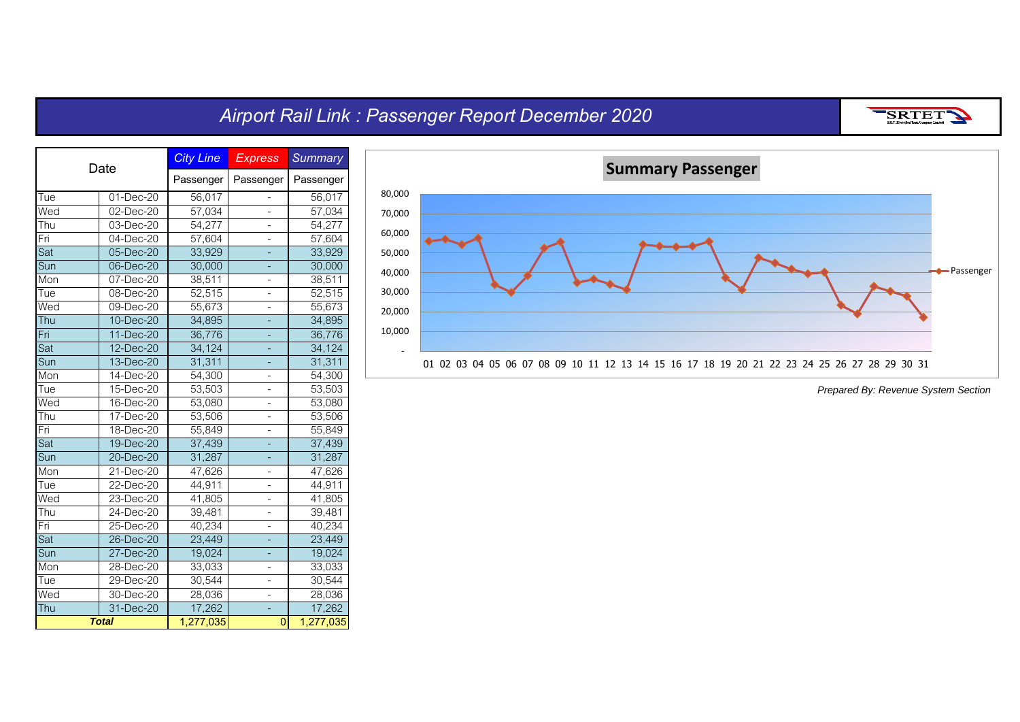## *Airport Rail Link : Passenger Report December 2020*

SRTET

| Date                     |              | <b>City Line</b>    | <b>Express</b> | <b>Summary</b> |
|--------------------------|--------------|---------------------|----------------|----------------|
|                          |              | Passenger           | Passenger      | Passenger      |
| Tue                      | 01-Dec-20    | 56,017              |                | 56,017         |
| Wed                      | 02-Dec-20    | 57,034              | $\overline{a}$ | 57,034         |
| $\overline{T}$ hu        | 03-Dec-20    | $\overline{54,277}$ |                | 54,277         |
| Fri                      | 04-Dec-20    | 57,604              | $\overline{a}$ | 57,604         |
| Sat                      | 05-Dec-20    | 33,929              |                | 33,929         |
| Sun                      | 06-Dec-20    | 30,000              |                | 30,000         |
| Mon                      | 07-Dec-20    | 38,511              | $\overline{a}$ | 38,511         |
| Tue                      | 08-Dec-20    | 52,515              | -              | 52,515         |
| Wed                      | 09-Dec-20    | 55,673              | -              | 55,673         |
| Thu                      | 10-Dec-20    | 34,895              | ÷,             | 34,895         |
| Fri                      | 11-Dec-20    | 36,776              |                | 36,776         |
| Sat                      | 12-Dec-20    | 34,124              |                | 34,124         |
| Sun                      | 13-Dec-20    | 31,311              | $\overline{a}$ | 31,311         |
| Mon                      | 14-Dec-20    | $\overline{54,300}$ | -              | 54,300         |
| Tue                      | 15-Dec-20    | 53,503              | -              | 53,503         |
| Wed                      | 16-Dec-20    | 53,080              | -              | 53,080         |
| Thu                      | 17-Dec-20    | 53,506              | -              | 53,506         |
| Fri                      | 18-Dec-20    | 55,849              | -              | 55,849         |
| Sat                      | 19-Dec-20    | 37,439              | ÷              | 37,439         |
| Sun                      | 20-Dec-20    | 31,287              | -              | 31,287         |
| Mon                      | 21-Dec-20    | 47,626              |                | 47,626         |
| Tue                      | $22$ -Dec-20 | 44,911              | $\overline{a}$ | 44,911         |
| Wed                      | 23-Dec-20    | 41,805              | $\overline{a}$ | 41,805         |
| Thu                      | 24-Dec-20    | 39,481              | -              | 39,481         |
| Fri                      | 25-Dec-20    | 40,234              | $\overline{a}$ | 40,234         |
| Sat                      | 26-Dec-20    | 23,449              |                | 23,449         |
| Sun                      | 27-Dec-20    | 19,024              | ÷              | 19,024         |
| Mon                      | 28-Dec-20    | 33,033              | -              | 33,033         |
| Tue                      | 29-Dec-20    | 30,544              | -              | 30,544         |
| $\overline{\text{We}}$ d | 30-Dec-20    | 28,036              | -              | 28,036         |
| Thu                      | 31-Dec-20    | 17,262              |                | 17,262         |
|                          | <b>Total</b> | 1,277,035           | 0              | 1,277,035      |

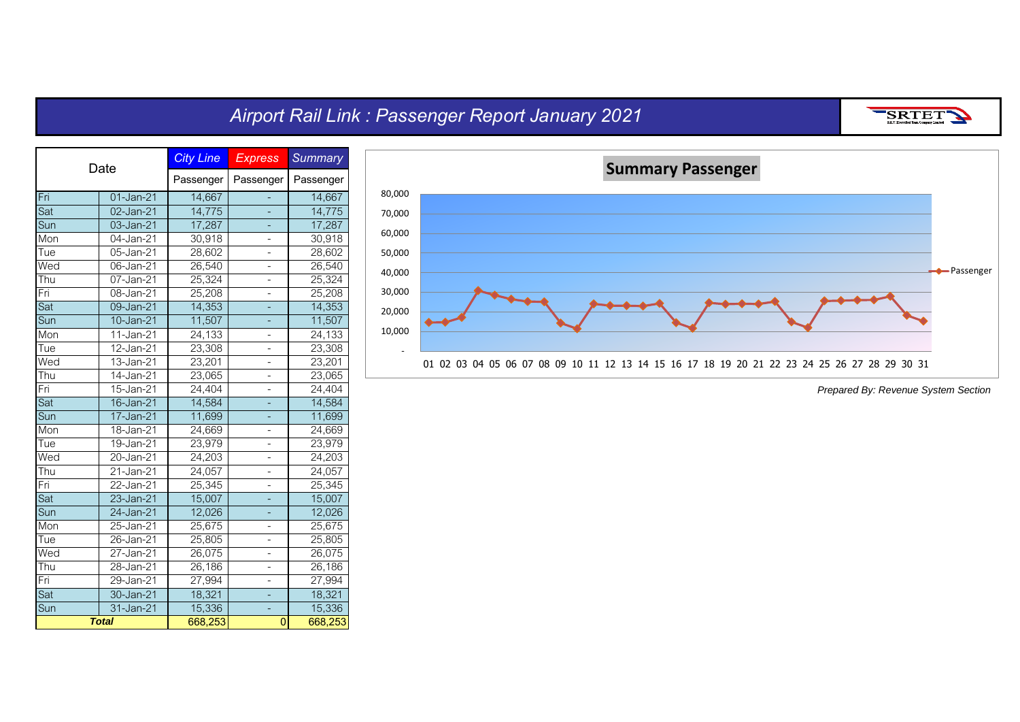## *Airport Rail Link : Passenger Report January 2021*

| . .<br>. .<br>. . |
|-------------------|
| ---------         |

| Date                     |                         | <b>City Line</b> | <b>Express</b> | <b>Summary</b> |
|--------------------------|-------------------------|------------------|----------------|----------------|
|                          |                         | Passenger        | Passenger      | Passenger      |
| Fri                      | 01-Jan-21               | 14,667           |                | 14,667         |
| Sat                      | 02-Jan-21               | 14,775           | -              | 14,775         |
| Sun                      | 03-Jan-21               | 17,287           | ÷              | 17,287         |
| Mon                      | 04-Jan-21               | 30,918           | -              | 30,918         |
| Tue                      | 05-Jan-21               | 28,602           |                | 28,602         |
| Wed                      | 06-Jan-21               | 26,540           |                | 26,540         |
| Thu                      | $\overline{0}$ 7-Jan-21 | 25,324           |                | 25,324         |
| Fri                      | 08-Jan-21               | 25,208           |                | 25,208         |
| Sat                      | 09-Jan-21               | 14,353           |                | 14,353         |
| Sun                      | 10-Jan-21               | 11,507           | ÷              | 11,507         |
| Mon                      | 11-Jan-21               | 24,133           | -              | 24,133         |
| Tue                      | 12-Jan-21               | 23,308           | -              | 23,308         |
| Wed                      | 13-Jan-21               | 23,201           | -              | 23,201         |
| Thu                      | 14-Jan-21               | 23,065           |                | 23,065         |
| Fri                      | 15-Jan-21               | 24,404           |                | 24,404         |
| Sat                      | 16-Jan-21               | 14,584           |                | 14,584         |
| Sun                      | 17-Jan-21               | 11,699           |                | 11,699         |
| Mon                      | 18-Jan-21               | 24,669           | -              | 24,669         |
| Tue                      | 19-Jan-21               | 23,979           | -              | 23,979         |
| $\overline{\text{We}}$ d | 20-Jan-21               | 24,203           | -              | 24,203         |
| Thu                      | $21$ -Jan-21            | 24,057           | $\overline{a}$ | 24,057         |
| Fri                      | 22-Jan-21               | 25,345           | -              | 25,345         |
| Sat                      | 23-Jan-21               | 15,007           |                | 15,007         |
| Sun                      | 24-Jan-21               | 12,026           |                | 12,026         |
| Mon                      | 25-Jan-21               | 25,675           |                | 25,675         |
| Tue                      | 26-Jan-21               | 25,805           |                | 25,805         |
| Wed                      | 27-Jan-21               | 26,075           | -              | 26,075         |
| Thu                      | 28-Jan-21               | 26,186           | -              | 26,186         |
| Fri                      | 29-Jan-21               | 27,994           | -              | 27,994         |
| Sat                      | 30-Jan-21               | 18,321           | -              | 18,321         |
| Sun                      | 31-Jan-21               | 15,336           |                | 15,336         |
|                          | <b>Total</b>            | 668,253          | $\overline{0}$ | 668,253        |

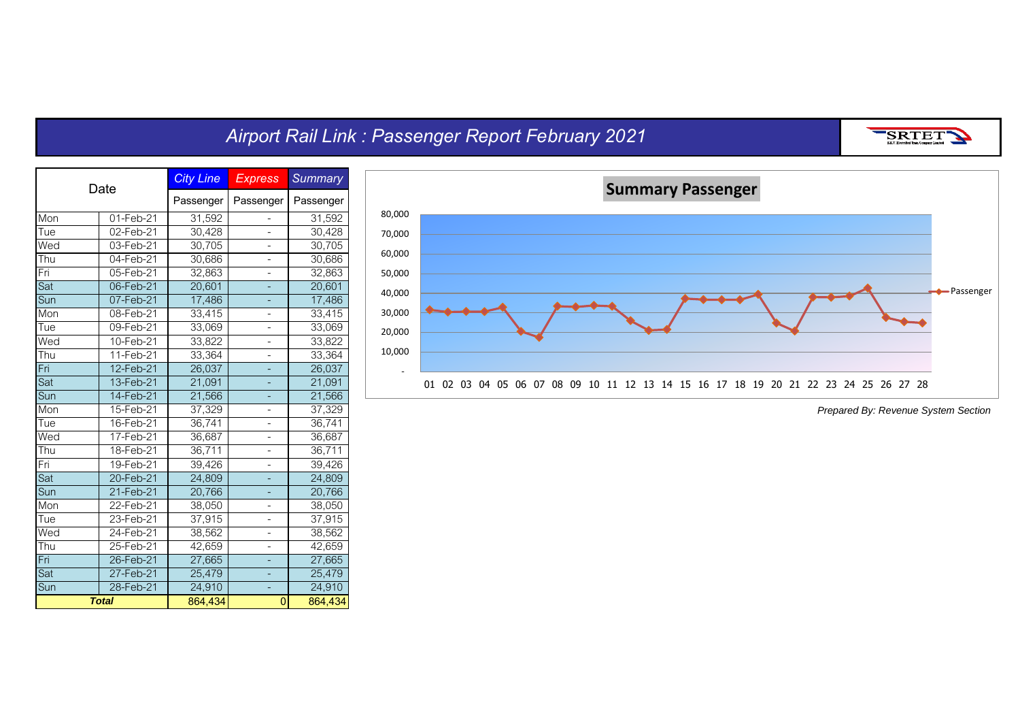#### *Airport Rail Link : Passenger Report February 2021*



Sat 27-Feb-21 25,479 - 25,479 Sun 28-Feb-21 24,910 - 24,910<br> **Total 864,434** 0 864,434

*Total*

**864,434 0 864,434**



*Prepared By: Revenue System Section*

SRTET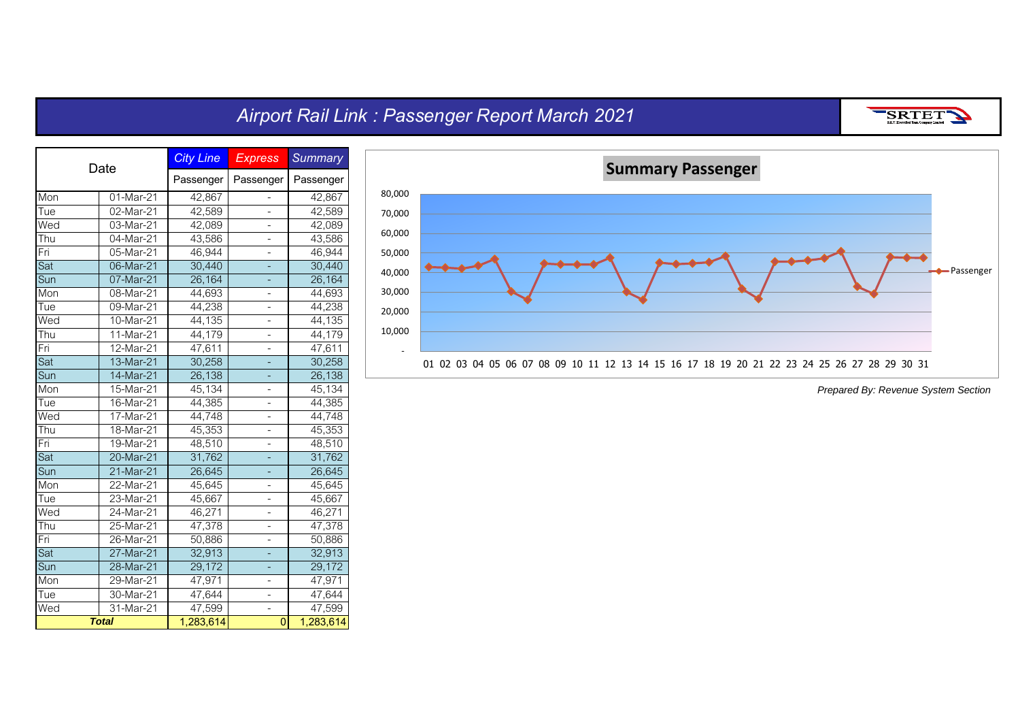## *Airport Rail Link : Passenger Report March 2021*

SRTET

| Date |                         | <b>City Line</b> | <b>Express</b> | <b>Summary</b> |
|------|-------------------------|------------------|----------------|----------------|
|      |                         | Passenger        | Passenger      | Passenger      |
| Mon  | 01-Mar-21               | 42,867           | -              | 42,867         |
| Tue  | 02-Mar-21               | 42,589           | -              | 42,589         |
| Wed  | 03-Mar-21               | 42,089           | -              | 42,089         |
| Thu  | $\overline{04}$ -Mar-21 | 43,586           | -              | 43,586         |
| Fri  | 05-Mar-21               | 46,944           |                | 46,944         |
| Sat  | $\overline{06}$ -Mar-21 | 30,440           |                | 30,440         |
| Sun  | 07-Mar-21               | 26,164           |                | 26,164         |
| Mon  | 08-Mar-21               | 44,693           | -              | 44,693         |
| Tue  | 09-Mar-21               | 44,238           | -              | 44,238         |
| Wed  | 10-Mar-21               | 44,135           | -              | 44,135         |
| Thu  | $11-Mar-21$             | 44,179           | -              | 44,179         |
| Fri  | 12-Mar-21               | 47,611           | -              | 47,611         |
| Sat  | $13-Mar-21$             | 30,258           |                | 30,258         |
| Sun  | 14-Mar-21               | 26,138           |                | 26,138         |
| Mon  | 15-Mar-21               | 45,134           |                | 45,134         |
| Tue  | 16-Mar-21               | 44,385           | -              | 44,385         |
| Wed  | $17-Mar-21$             | 44,748           | -              | 44,748         |
| Thu  | 18-Mar-21               | 45,353           | -              | 45,353         |
| Fri  | 19-Mar-21               | 48,510           | -              | 48,510         |
| Sat  | 20-Mar-21               | 31,762           | ÷              | 31,762         |
| Sun  | 21-Mar-21               | 26,645           |                | 26,645         |
| Mon  | $22$ -Mar-21            | 45,645           | -              | 45,645         |
| Tue  | 23-Mar-21               | 45,667           | $\overline{a}$ | 45,667         |
| Wed  | 24-Mar-21               | 46,271           |                | 46,271         |
| Thu  | 25-Mar-21               | 47,378           |                | 47,378         |
| Fri  | 26-Mar-21               | 50,886           | -              | 50,886         |
| Sat  | 27-Mar-21               | 32,913           |                | 32,913         |
| Sun  | 28-Mar-21               | 29,172           | ÷,             | 29,172         |
| Mon  | 29-Mar-21               | 47,971           | -              | 47,971         |
| Tue  | 30-Mar-21               | 47,644           | -              | 47,644         |
| Wed  | $31$ -Mar-21            | 47,599           |                | 47,599         |
|      | <b>Total</b>            | 1,283,614        | $\overline{0}$ | 1,283,614      |

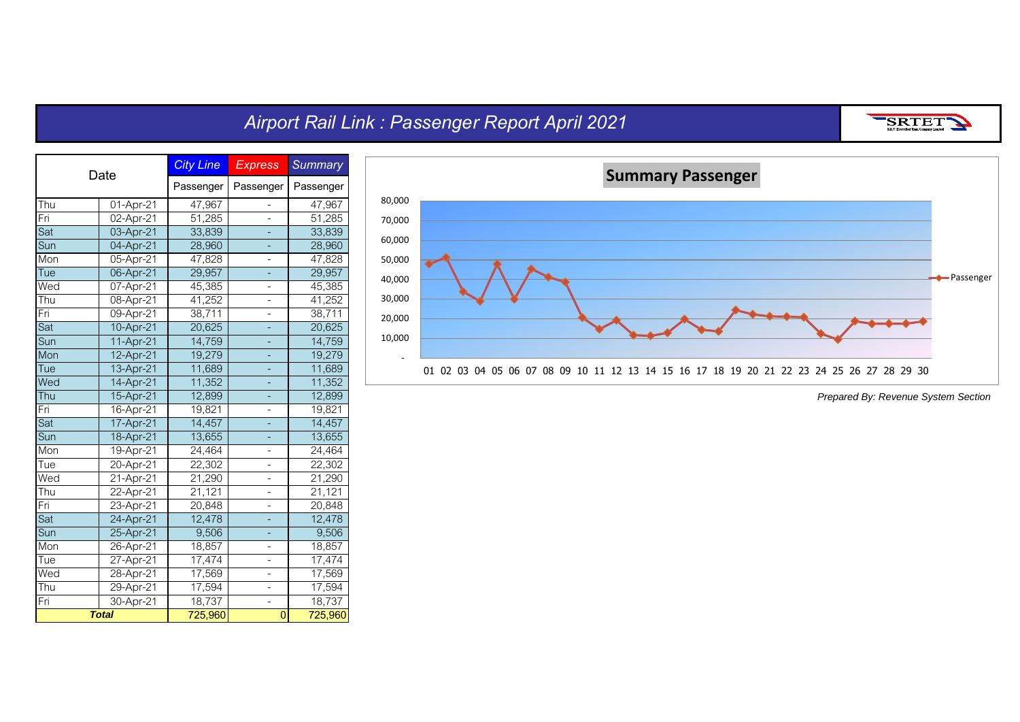## *Airport Rail Link : Passenger Report April 2021*

SRTETY

| Date       |               | <b>City Line</b> | <b>Express</b>           | <b>Summary</b> |
|------------|---------------|------------------|--------------------------|----------------|
|            |               | Passenger        | Passenger                | Passenger      |
| <b>Thu</b> | 01-Apr-21     | 47,967           | -                        | 47,967         |
| Fri        | 02-Apr-21     | 51,285           |                          | 51,285         |
| Sat        | 03-Apr-21     | 33,839           | ÷,                       | 33,839         |
| Sun        | 04-Apr-21     | 28,960           | -                        | 28,960         |
| Mon        | 05-Apr-21     | 47,828           | -                        | 47,828         |
| Tue        | 06-Apr-21     | 29,957           | -                        | 29,957         |
| Wed        | 07-Apr-21     | 45,385           | $\overline{\phantom{0}}$ | 45,385         |
| Thu        | 08-Apr-21     | 41,252           | -                        | 41,252         |
| Fri        | 09-Apr-21     | 38,711           |                          | 38,711         |
| Sat        | 10-Apr-21     | 20,625           |                          | 20,625         |
| Sun        | 11-Apr-21     | 14,759           | 4                        | 14,759         |
| Mon        | 12-Apr-21     | 19,279           | ÷                        | 19,279         |
| Tue        | 13-Apr-21     | 11,689           |                          | 11,689         |
| Wed        | 14-Apr-21     | 11,352           |                          | 11,352         |
| Thu        | 15-Apr-21     | 12,899           | 4                        | 12,899         |
| Fri        | 16-Apr-21     | 19,821           | -                        | 19,821         |
| Sat        | 17-Apr-21     | 14,457           |                          | 14,457         |
| Sun        | 18-Apr-21     | 13,655           | ۳                        | 13,655         |
| Mon        | 19-Apr-21     | 24,464           | -                        | 24,464         |
| Tue        | 20-Apr-21     | 22,302           | $\overline{a}$           | 22,302         |
| Wed        | $21 -$ Apr-21 | 21,290           |                          | 21,290         |
| Thu        | 22-Apr-21     | 21,121           | $\overline{a}$           | 21,121         |
| Fri        | 23-Apr-21     | 20,848           | -                        | 20,848         |
| Sat        | 24-Apr-21     | 12,478           |                          | 12,478         |
| Sun        | 25-Apr-21     | 9,506            |                          | 9,506          |
| Mon        | 26-Apr-21     | 18,857           |                          | 18,857         |
| Tue        | 27-Apr-21     | 17,474           |                          | 17,474         |
| Wed        | 28-Apr-21     | 17,569           | -                        | 17,569         |
| Thu        | 29-Apr-21     | 17,594           | -                        | 17,594         |
| Fri        | 30-Apr-21     | 18,737           |                          | 18,737         |
|            | <b>Total</b>  | 725,960          | $\overline{0}$           | 725,960        |

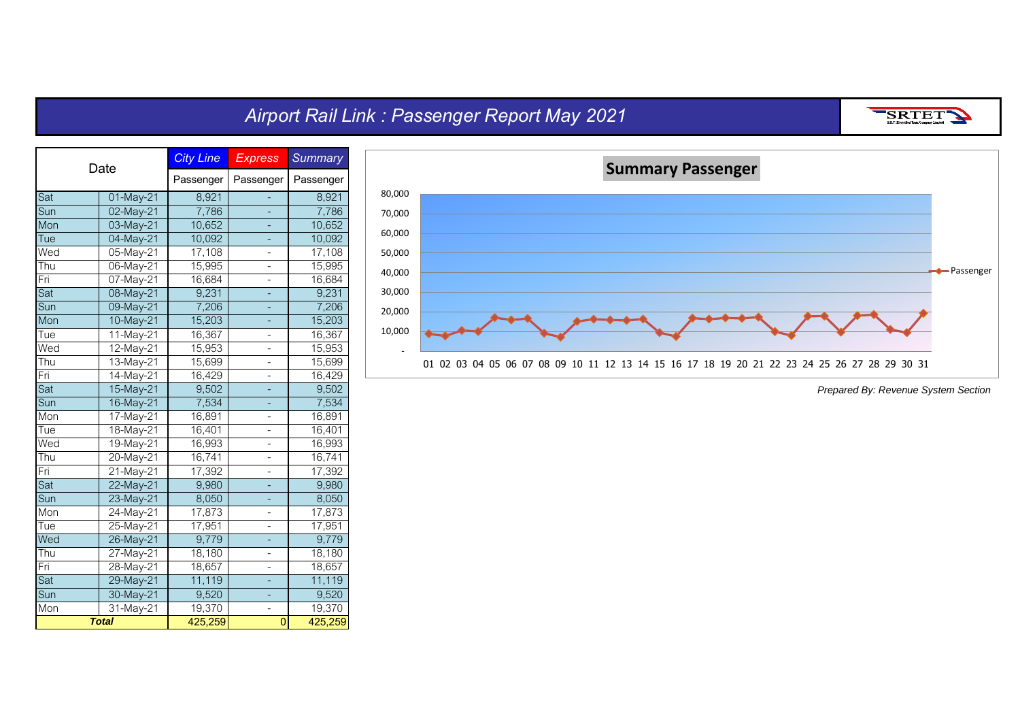# *Airport Rail Link : Passenger Report May 2021*

SRTET

| Date |                         | <b>City Line</b>    | <b>Express</b> | <b>Summary</b> |
|------|-------------------------|---------------------|----------------|----------------|
|      |                         | Passenger           | Passenger      | Passenger      |
| Sat  | 01-May-21               | 8,921               |                | 8,921          |
| Sun  | 02-May-21               | 7,786               |                | 7,786          |
| Mon  | 03-May-21               | 10,652              | ÷              | 10,652         |
| Tue  | 04-May-21               | 10,092              | ÷,             | 10,092         |
| Wed  | 05-May-21               | $\overline{17,108}$ | -              | 17,108         |
| Thu  | 06-May-21               | 15,995              |                | 15,995         |
| Fri  | 07-May-21               | 16,684              |                | 16,684         |
| Sat  | 08-May-21               | 9,231               |                | 9,231          |
| Sun  | 09-May-21               | 7,206               |                | 7,206          |
| Mon  | 10-May-21               | 15,203              |                | 15,203         |
| Tue  | 11-May-21               | 16,367              | -              | 16,367         |
| Wed  | 12-May-21               | 15,953              | -              | 15,953         |
| Thu  | $\overline{13}$ -May-21 | 15,699              | $\overline{a}$ | 15,699         |
| Fri  | 14-May-21               | 16,429              |                | 16,429         |
| Sat  | 15-May-21               | 9,502               |                | 9,502          |
| Sun  | 16-May-21               | 7,534               |                | 7,534          |
| Mon  | 17-May-21               | 16,891              |                | 16,891         |
| Tue  | 18-May-21               | 16,401              | -              | 16,401         |
| Wed  | 19-May-21               | 16,993              | -              | 16,993         |
| Thu  | 20-May-21               | 16,741              | -              | 16,741         |
| Fri  | 21-May-21               | 17,392              | -              | 17,392         |
| Sat  | $22 - May - 21$         | 9,980               |                | 9,980          |
| Sun  | 23-May-21               | 8,050               |                | 8,050          |
| Mon  | 24-May-21               | 17,873              |                | 17,873         |
| Tue  | 25-May-21               | 17,951              |                | 17,951         |
| Wed  | 26-May-21               | 9,779               |                | 9,779          |
| Thu  | 27-May-21               | 18,180              | -              | 18,180         |
| Fri  | 28-May-21               | 18,657              | -              | 18,657         |
| Sat  | 29-May-21               | 11,119              | ÷              | 11,119         |
| Sun  | 30-May-21               | 9,520               |                | 9,520          |
| Mon  | 31-May-21               | 19,370              |                | 19,370         |
|      | <b>Total</b>            | 425,259             | $\overline{0}$ | 425,259        |

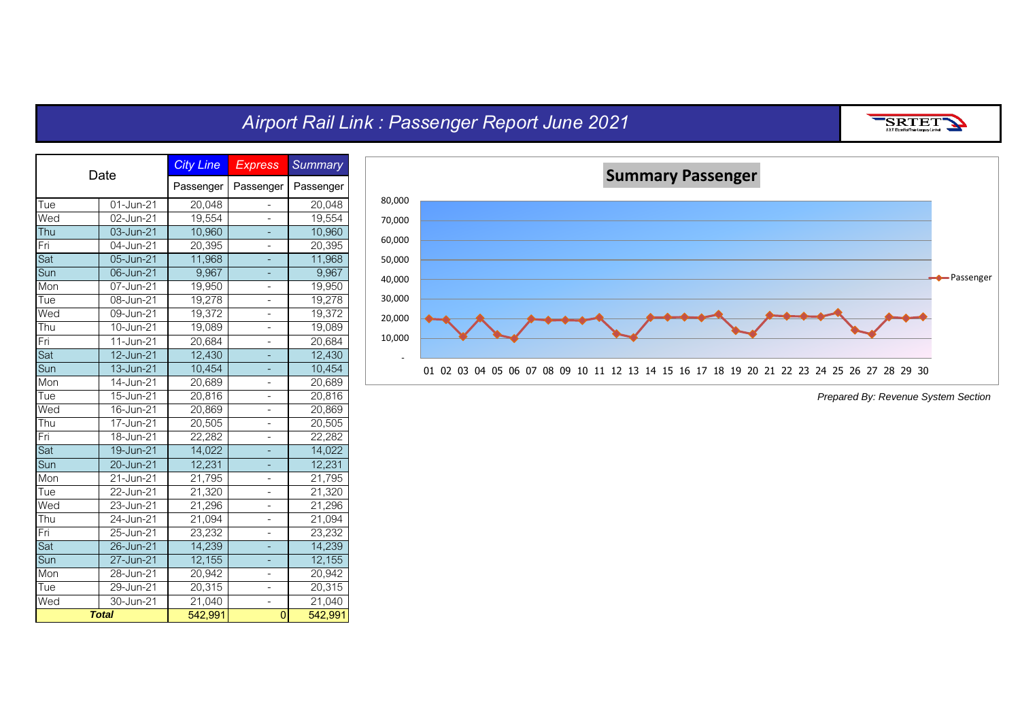## *Airport Rail Link : Passenger Report June 2021*

SRTET

| Date |                         | <b>City Line</b> | <b>Express</b>           | <b>Summary</b>      |
|------|-------------------------|------------------|--------------------------|---------------------|
|      |                         | Passenger        | Passenger                | Passenger           |
| Tue  | 01-Jun-21               | 20,048           | $\overline{\phantom{0}}$ | 20,048              |
| Wed  | 02-Jun-21               | 19,554           |                          | 19,554              |
| Thu  | 03-Jun-21               | 10,960           | -                        | 10,960              |
| Fri  | 04-Jun-21               | 20,395           | -                        | 20,395              |
| Sat  | 05-Jun-21               | 11,968           |                          | 11,968              |
| Sun  | 06-Jun-21               | 9,967            | ۳                        | 9,967               |
| Mon  | 07-Jun-21               | 19,950           | $\overline{\phantom{0}}$ | 19,950              |
| Tue  | 08-Jun-21               | 19,278           | $\overline{\phantom{0}}$ | 19,278              |
| Wed  | 09-Jun-21               | 19,372           |                          | 19,372              |
| Thu  | 10-Jun-21               | 19,089           | -                        | 19,089              |
| Fri  | $\overline{11}$ -Jun-21 | 20,684           | $\overline{a}$           | 20,684              |
| Sat  | 12-Jun-21               | 12,430           | ÷                        | 12,430              |
| Sun  | 13-Jun-21               | 10,454           | ۳                        | 10,454              |
| Mon  | 14-Jun-21               | 20,689           |                          | 20,689              |
| Tue  | 15-Jun-21               | 20,816           | -                        | 20,816              |
| Wed  | 16-Jun-21               | 20,869           | -                        | 20,869              |
| Thu  | 17-Jun-21               | 20,505           | -                        | 20,505              |
| Fri  | 18-Jun-21               | 22,282           | -                        | 22,282              |
| Sat  | 19-Jun-21               | 14,022           | ÷,                       | 14,022              |
| Sun  | 20-Jun-21               | 12,231           |                          | 12,231              |
| Mon  | 21-Jun-21               | 21,795           | -                        | 21,795              |
| Tue  | 22-Jun-21               | 21,320           | $\overline{a}$           | 21,320              |
| Wed  | 23-Jun-21               | 21,296           | -                        | 21,296              |
| Thu  | 24-Jun-21               | 21,094           | -                        | 21,094              |
| Fri  | 25-Jun-21               | 23,232           |                          | 23,232              |
| Sat  | 26-Jun-21               | 14,239           |                          | 14,239              |
| Sun  | 27-Jun-21               | 12,155           |                          | 12,155              |
| Mon  | 28-Jun-21               | 20,942           | -                        | 20,942              |
| Tue  | 29-Jun-21               | 20,315           | -                        | 20,315              |
| Wed  | 30-Jun-21               | 21,040           |                          | $\overline{21,040}$ |
|      | <b>Total</b>            | 542,991          | 0                        | 542,991             |

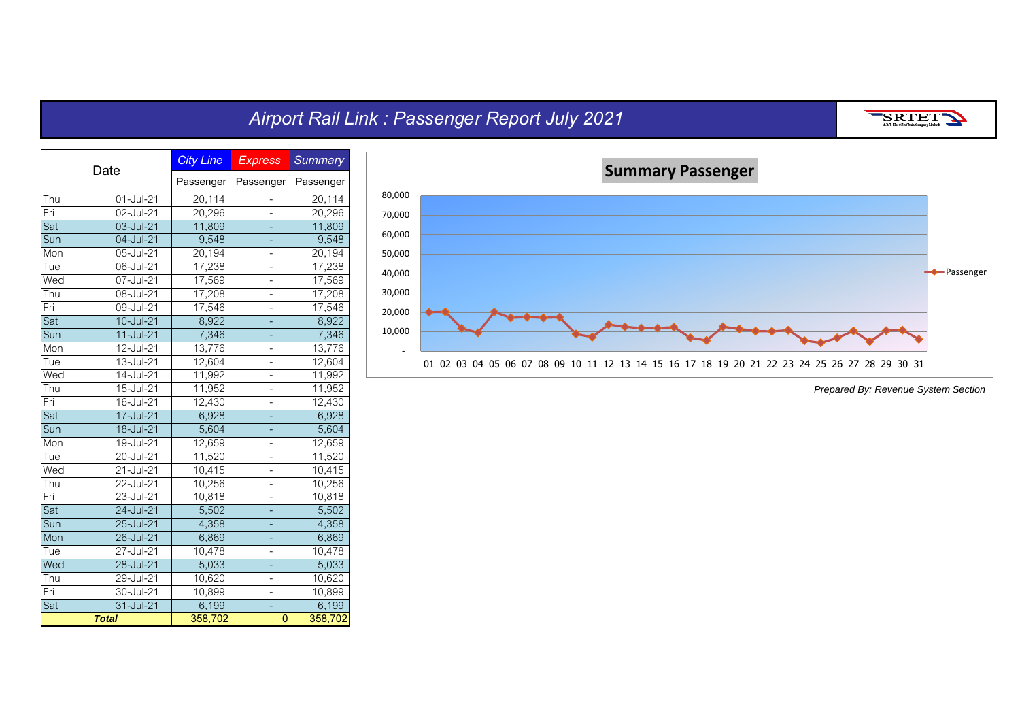#### *Airport Rail Link : Passenger Report July 2021*





*Prepared By: Revenue System Section*

SRTET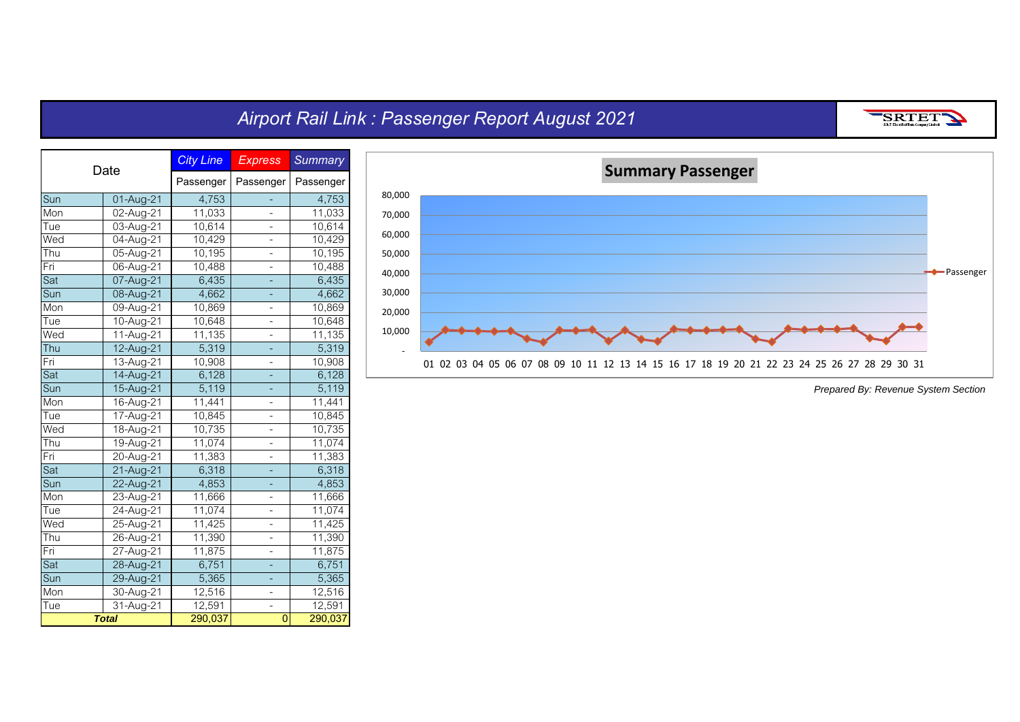#### *Airport Rail Link : Passenger Report August 2021*

*City Line Express Summary* **Passenger Passenger Passenger** Sun 01-Aug-21 4,753 - 4,753<br>Mon 02-Aug-21 11,033 - 11,033 Mon 02-Aug-21 11,033 - 11,033<br>Tue 03-Aug-21 10,614 - 10.614 Tue 03-Aug-21 10,614 - 10,614<br>Wed 04-Aug-21 10,429 - 10,429 Wed 04-Aug-21 10,429 - 10,429<br>Thu 05-Aug-21 10,195 - 10.195 05-Aug-21 10,195 - 10,195<br>06-Aug-21 10,488 - 10,488 Pri 06-Aug-21 10,488 - 10,488<br>Sat 07-Aug-21 6,435 - 6,435 Sat 07-Aug-21 6,435 - 6,435<br>Sun 08-Aug-21 4,662 - 4,662 Sun 08-Aug-21 4,662 - 4,662<br>Mon 09-Aug-21 10.869 - 10.869 09-Aug-21 10,869 - 10,869<br>10-Aug-21 10.648 - 10.648 Tue 10-Aug-21 10,648 - 10,648<br>Wed 11-Aug-21 11,135 - 11,135 Wed 11-Aug-21 11,135 - 11,135<br>Thu 12-Aug-21 5,319 - 5,319 12-Aug-21 5,319 - 5,319<br>13-Aug-21 10.908 - 10.908 Fri 13-Aug-21 10,908 - 10,908<br>Sat 14-Aug-21 6,128 - 6,128 Sat 14-Aug-21 6,128 - 6,128<br>Sun 15-Aug-21 5,119 - 5,119 15-Aug-21 5,119 - 5,119<br>16-Aug-21 11,441 - 11,441 Mon 16-Aug-21 11,441 - 11,441<br>Tue 17-Aug-21 10,845 - 10,845 Tue 17-Aug-21 10,845 - 10,845<br>Wed 18-Aug-21 10,735 - 10,735 18-Aug-21 10,735 - 10,735<br>19-Aug-21 11.074 - 11.074 Thu 19-Aug-21 11,074 - 11,074<br>Fri 20-Aug-21 11,383 - 11,383 Fri 20-Aug-21 11,383 - 11,383<br>Sat 21-Aug-21 6,318 - 6,318 Sat 21-Aug-21 6,318 - 6,318<br>Sun 22-Aug-21 4,853 - 4,853 Sun 22-Aug-21 4,853 - 4,853<br>Mon 23-Aug-21 11,666 - 11,666 23-Aug-21 11,666 - 11,666<br>24-Aug-21 11,074 - 11,074 Tue 24-Aug-21 11,074 - 11,074<br>Wed 25-Aug-21 11,425 - 11,425 25-Aug-21 11,425 -11,390 - 11,390 - 11,390<br>11,390 - 11,390 - 11,390<br>27-Aug-21 - 11,875 - 11,875 Fri 27-Aug-21 11,875 - 11,875 <sup>2</sup> Sat 28-Aug-21 6,751 - 6,751<br>Sun 29-Aug-21 5,365 - 5,365 Sun 29-Aug-21 5,365 - 5,365<br>Mon 30-Aug-21 12,516 - 12,516 12,516 - 12,516<br>31-Aug-21 12,591 - 12,591 - Tue | 31-Aug-21 | 12,591 | 12,591 | 12,591 | 12,591 | 12,591 | 12,591 | 12,591 | 12,591 | 12,591 | 12,591 | <br>- Total | 1290,037 | 12,591 | 12,591 | 12,591 | 12,591 | 12,591 | 12,591 | 12,591 | 12,591 | 12,591 | 12,591 | **290,037 0 290,037 Date** *Total*



*Prepared By: Revenue System Section*

SRTET